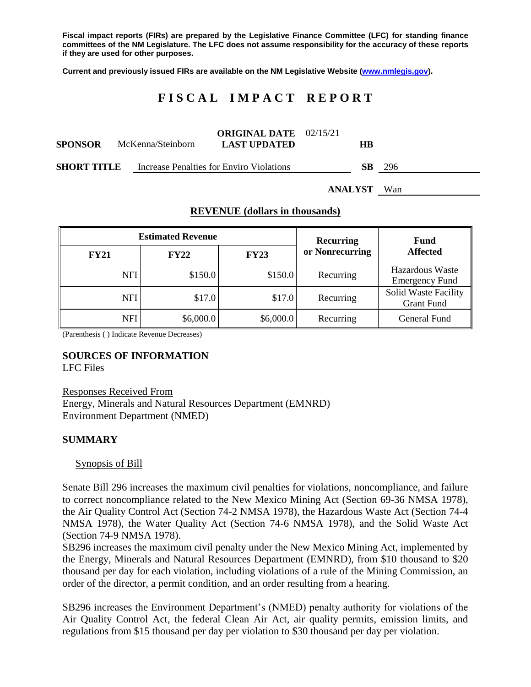**Fiscal impact reports (FIRs) are prepared by the Legislative Finance Committee (LFC) for standing finance committees of the NM Legislature. The LFC does not assume responsibility for the accuracy of these reports if they are used for other purposes.**

**Current and previously issued FIRs are available on the NM Legislative Website [\(www.nmlegis.gov\)](http://www.nmlegis.gov/).**

# **F I S C A L I M P A C T R E P O R T**

| <b>SPONSOR</b>     | McKenna/Steinborn | <b>ORIGINAL DATE</b> $02/15/21$<br><b>LAST UPDATED</b> | HВ        |      |
|--------------------|-------------------|--------------------------------------------------------|-----------|------|
| <b>SHORT TITLE</b> |                   | Increase Penalties for Enviro Violations               | <b>SB</b> | -296 |

**ANALYST** Wan

### **REVENUE (dollars in thousands)**

|             | <b>Estimated Revenue</b> | <b>Recurring</b> | <b>Fund</b>     |                                                  |
|-------------|--------------------------|------------------|-----------------|--------------------------------------------------|
| <b>FY21</b> | <b>FY22</b>              | <b>FY23</b>      | or Nonrecurring | <b>Affected</b>                                  |
| <b>NFI</b>  | \$150.0                  | \$150.0          | Recurring       | <b>Hazardous Waste</b><br><b>Emergency Fund</b>  |
| <b>NFI</b>  | \$17.0                   | \$17.0           | Recurring       | <b>Solid Waste Facility</b><br><b>Grant Fund</b> |
| <b>NFI</b>  | \$6,000.0                | \$6,000.0        | Recurring       | General Fund                                     |

(Parenthesis ( ) Indicate Revenue Decreases)

## **SOURCES OF INFORMATION**

LFC Files

Responses Received From Energy, Minerals and Natural Resources Department (EMNRD) Environment Department (NMED)

## **SUMMARY**

#### Synopsis of Bill

Senate Bill 296 increases the maximum civil penalties for violations, noncompliance, and failure to correct noncompliance related to the New Mexico Mining Act (Section 69-36 NMSA 1978), the Air Quality Control Act (Section 74-2 NMSA 1978), the Hazardous Waste Act (Section 74-4 NMSA 1978), the Water Quality Act (Section 74-6 NMSA 1978), and the Solid Waste Act (Section 74-9 NMSA 1978).

SB296 increases the maximum civil penalty under the New Mexico Mining Act, implemented by the Energy, Minerals and Natural Resources Department (EMNRD), from \$10 thousand to \$20 thousand per day for each violation, including violations of a rule of the Mining Commission, an order of the director, a permit condition, and an order resulting from a hearing.

SB296 increases the Environment Department's (NMED) penalty authority for violations of the Air Quality Control Act, the federal Clean Air Act, air quality permits, emission limits, and regulations from \$15 thousand per day per violation to \$30 thousand per day per violation.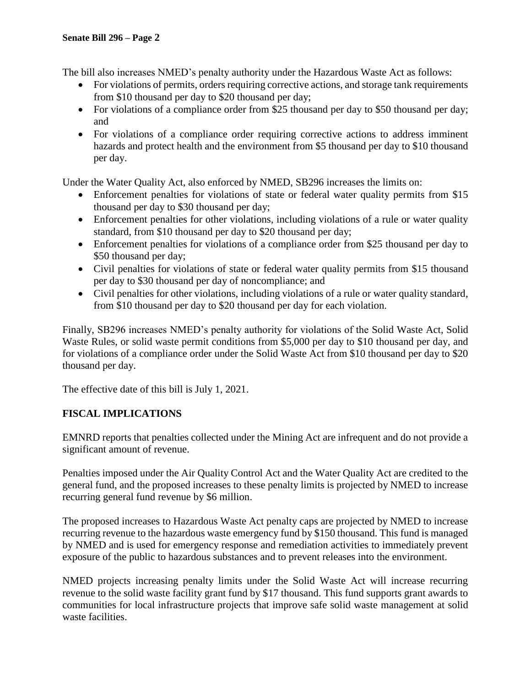The bill also increases NMED's penalty authority under the Hazardous Waste Act as follows:

- For violations of permits, orders requiring corrective actions, and storage tank requirements from \$10 thousand per day to \$20 thousand per day;
- For violations of a compliance order from \$25 thousand per day to \$50 thousand per day; and
- For violations of a compliance order requiring corrective actions to address imminent hazards and protect health and the environment from \$5 thousand per day to \$10 thousand per day.

Under the Water Quality Act, also enforced by NMED, SB296 increases the limits on:

- Enforcement penalties for violations of state or federal water quality permits from \$15 thousand per day to \$30 thousand per day;
- Enforcement penalties for other violations, including violations of a rule or water quality standard, from \$10 thousand per day to \$20 thousand per day;
- Enforcement penalties for violations of a compliance order from \$25 thousand per day to \$50 thousand per day;
- Civil penalties for violations of state or federal water quality permits from \$15 thousand per day to \$30 thousand per day of noncompliance; and
- Civil penalties for other violations, including violations of a rule or water quality standard, from \$10 thousand per day to \$20 thousand per day for each violation.

Finally, SB296 increases NMED's penalty authority for violations of the Solid Waste Act, Solid Waste Rules, or solid waste permit conditions from \$5,000 per day to \$10 thousand per day, and for violations of a compliance order under the Solid Waste Act from \$10 thousand per day to \$20 thousand per day.

The effective date of this bill is July 1, 2021.

## **FISCAL IMPLICATIONS**

EMNRD reports that penalties collected under the Mining Act are infrequent and do not provide a significant amount of revenue.

Penalties imposed under the Air Quality Control Act and the Water Quality Act are credited to the general fund, and the proposed increases to these penalty limits is projected by NMED to increase recurring general fund revenue by \$6 million.

The proposed increases to Hazardous Waste Act penalty caps are projected by NMED to increase recurring revenue to the hazardous waste emergency fund by \$150 thousand. This fund is managed by NMED and is used for emergency response and remediation activities to immediately prevent exposure of the public to hazardous substances and to prevent releases into the environment.

NMED projects increasing penalty limits under the Solid Waste Act will increase recurring revenue to the solid waste facility grant fund by \$17 thousand. This fund supports grant awards to communities for local infrastructure projects that improve safe solid waste management at solid waste facilities.